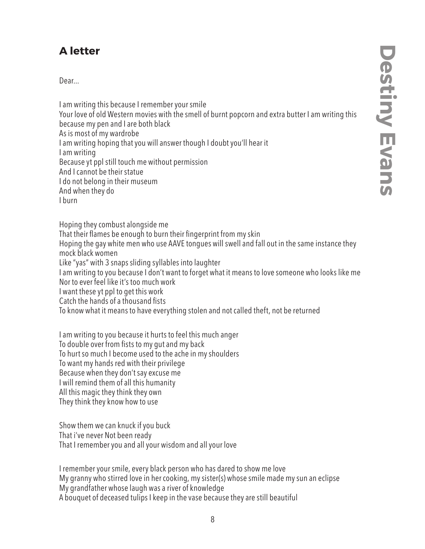## **A letter**

Dear...

I am writing this because I remember your smile Your love of old Western movies with the smell of burnt popcorn and extra butter I am writing this because my pen and I are both black As is most of my wardrobe I am writing hoping that you will answer though I doubt you'll hear it I am writing Because yt ppl still touch me without permission And I cannot be their statue I do not belong in their museum And when they do I burn

Hoping they combust alongside me That their flames be enough to burn their fingerprint from my skin Hoping the gay white men who use AAVE tongues will swell and fall out in the same instance they mock black women Like "yas" with 3 snaps sliding syllables into laughter I am writing to you because I don't want to forget what it means to love someone who looks like me Nor to ever feel like it's too much work I want these yt ppl to get this work Catch the hands of a thousand fists To know what it means to have everything stolen and not called theft, not be returned

I am writing to you because it hurts to feel this much anger To double over from fists to my gut and my back To hurt so much I become used to the ache in my shoulders To want my hands red with their privilege Because when they don't say excuse me I will remind them of all this humanity All this magic they think they own They think they know how to use

Show them we can knuck if you buck That i've never Not been ready That I remember you and all your wisdom and all your love

I remember your smile, every black person who has dared to show me love My granny who stirred love in her cooking, my sister(s) whose smile made my sun an eclipse My grandfather whose laugh was a river of knowledge A bouquet of deceased tulips I keep in the vase because they are still beautiful